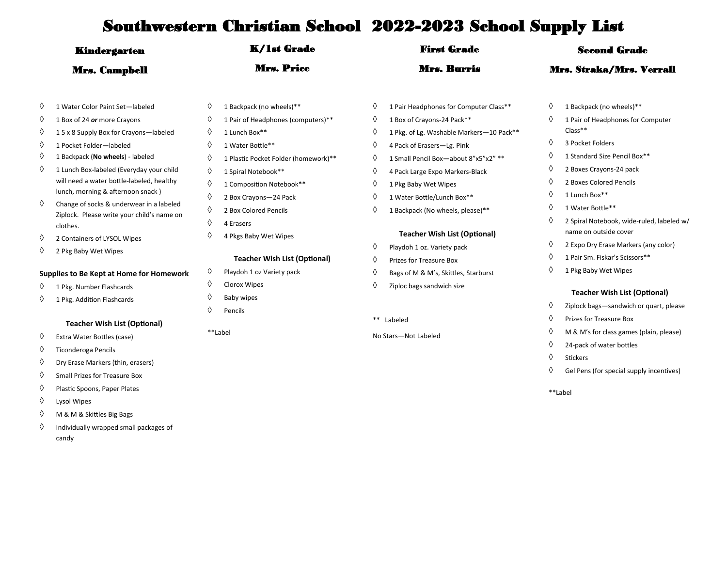| <b>Kindergarten</b><br><b>Mrs. Campbell</b> |                                                                                                                            | <b>K/1st Grade</b><br><b>Mrs. Price</b>                                |                                                                           |                    | <b>First Grade</b>                                                                                             |                                 | <b>Second Grade</b>                                                                                          |  |  |
|---------------------------------------------|----------------------------------------------------------------------------------------------------------------------------|------------------------------------------------------------------------|---------------------------------------------------------------------------|--------------------|----------------------------------------------------------------------------------------------------------------|---------------------------------|--------------------------------------------------------------------------------------------------------------|--|--|
|                                             |                                                                                                                            |                                                                        |                                                                           | <b>Mrs. Burris</b> |                                                                                                                | <b>Mrs. Straka/Mrs. Verrall</b> |                                                                                                              |  |  |
| ♦<br>♦                                      | 1 Water Color Paint Set-labeled<br>1 Box of 24 or more Crayons                                                             | ♦<br>♦                                                                 | 1 Backpack (no wheels)**<br>1 Pair of Headphones (computers)**            | ♦<br>♦             | 1 Pair Headphones for Computer Class**<br>1 Box of Crayons-24 Pack**                                           | ♦<br>♦                          | 1 Backpack (no wheels)**<br>1 Pair of Headphones for Computer<br>Class**                                     |  |  |
| ♦<br>♦<br>♦                                 | 15 x 8 Supply Box for Crayons-labeled<br>1 Pocket Folder-labeled<br>1 Backpack (No wheels) - labeled                       | ♦<br>♦<br>♦                                                            | 1 Lunch Box**<br>1 Water Bottle**<br>1 Plastic Pocket Folder (homework)** | ♦<br>♦<br>♦        | 1 Pkg. of Lg. Washable Markers-10 Pack**<br>4 Pack of Erasers-Lg. Pink<br>1 Small Pencil Box-about 8"x5"x2" ** | ♦<br>♦                          | 3 Pocket Folders<br>1 Standard Size Pencil Box**                                                             |  |  |
| ♦                                           | 1 Lunch Box-labeled (Everyday your child<br>will need a water bottle-labeled, healthy<br>lunch, morning & afternoon snack) | ♦<br>♦<br>♦                                                            | 1 Spiral Notebook**<br>1 Composition Notebook**<br>2 Box Crayons-24 Pack  | ♦<br>♦<br>♦        | 4 Pack Large Expo Markers-Black<br>1 Pkg Baby Wet Wipes<br>1 Water Bottle/Lunch Box**                          | ♦<br>♦<br>♦                     | 2 Boxes Crayons-24 pack<br>2 Boxes Colored Pencils<br>1 Lunch Box**                                          |  |  |
| ♦                                           | Change of socks & underwear in a labeled<br>Ziplock. Please write your child's name on<br>clothes.                         | ♦<br>♦                                                                 | 2 Box Colored Pencils<br>4 Erasers                                        | ♦                  | 1 Backpack (No wheels, please)**                                                                               | ♦<br>♦                          | 1 Water Bottle**<br>2 Spiral Notebook, wide-ruled, labeled w/<br>name on outside cover                       |  |  |
| ♦<br>♦                                      | 2 Containers of LYSOL Wipes<br>2 Pkg Baby Wet Wipes                                                                        | ♦                                                                      | 4 Pkgs Baby Wet Wipes<br><b>Teacher Wish List (Optional)</b>              | ♦<br>♦             | <b>Teacher Wish List (Optional)</b><br>Playdoh 1 oz. Variety pack<br>Prizes for Treasure Box                   | ♦<br>♦                          | 2 Expo Dry Erase Markers (any color)<br>1 Pair Sm. Fiskar's Scissors**                                       |  |  |
| ♦<br>♦                                      | Supplies to Be Kept at Home for Homework<br>1 Pkg. Number Flashcards<br>1 Pkg. Addition Flashcards                         | ♦<br>Playdoh 1 oz Variety pack<br>♦<br>Clorox Wipes<br>♦<br>Baby wipes |                                                                           | ♦<br>♦             | Bags of M & M's, Skittles, Starburst<br>Ziploc bags sandwich size                                              | ♦                               | 1 Pkg Baby Wet Wipes<br><b>Teacher Wish List (Optional)</b>                                                  |  |  |
|                                             | <b>Teacher Wish List (Optional)</b>                                                                                        | ♦                                                                      | Pencils<br>**Label                                                        |                    | ** Labeled                                                                                                     | ♦<br>♦<br>♦                     | Ziplock bags-sandwich or quart, please<br>Prizes for Treasure Box<br>M & M's for class games (plain, please) |  |  |
| ♦<br>♦<br>♦                                 | Extra Water Bottles (case)<br>Ticonderoga Pencils<br>Dry Erase Markers (thin, erasers)                                     |                                                                        |                                                                           |                    | No Stars-Not Labeled                                                                                           | ♦<br>♦                          | 24-pack of water bottles<br><b>Stickers</b>                                                                  |  |  |
| ♦<br>♦                                      | <b>Small Prizes for Treasure Box</b><br>Plastic Spoons, Paper Plates                                                       |                                                                        |                                                                           |                    |                                                                                                                | ♦                               | Gel Pens (for special supply incentives)<br>**Label                                                          |  |  |

- Lysol Wipes
- M & M & Skittles Big Bags
- $\Diamond$  Individually wrapped small packages of candy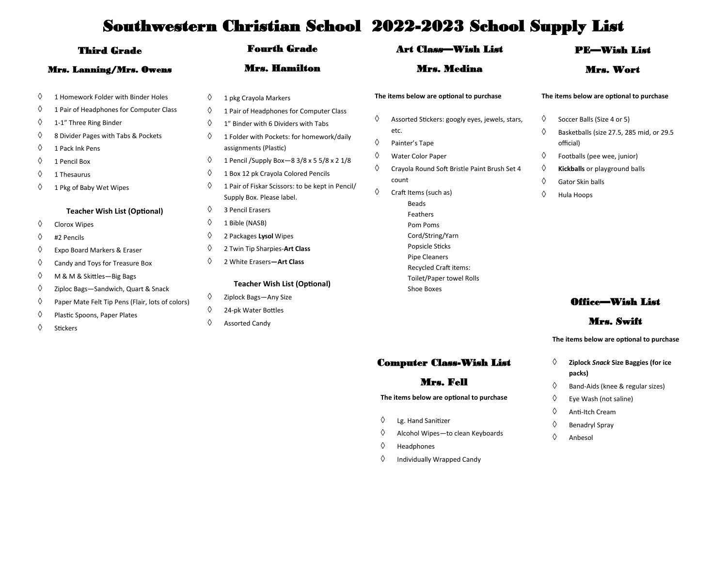| <b>Third Grade</b><br>Mrs. Lanning/Mrs. Owens |                                                                                                                                                                                                                                                                    | <b>Fourth Grade</b>                                                                                                                                                                                                      |                                                                                                                                                                                                                                                                                                                                                        | <b>Art Class—Wish List</b> |                                                                                                                                                                                                                             | <b>PE-Wish List</b>   |                                                                                                                                                                                                                                   |
|-----------------------------------------------|--------------------------------------------------------------------------------------------------------------------------------------------------------------------------------------------------------------------------------------------------------------------|--------------------------------------------------------------------------------------------------------------------------------------------------------------------------------------------------------------------------|--------------------------------------------------------------------------------------------------------------------------------------------------------------------------------------------------------------------------------------------------------------------------------------------------------------------------------------------------------|----------------------------|-----------------------------------------------------------------------------------------------------------------------------------------------------------------------------------------------------------------------------|-----------------------|-----------------------------------------------------------------------------------------------------------------------------------------------------------------------------------------------------------------------------------|
|                                               |                                                                                                                                                                                                                                                                    |                                                                                                                                                                                                                          | Mrs. Hamilton                                                                                                                                                                                                                                                                                                                                          |                            | Mrs. Medina                                                                                                                                                                                                                 |                       | Mrs. Wort                                                                                                                                                                                                                         |
| ♦<br>♦<br>♦<br>♦<br>♦<br>♦<br>♦<br>♦          | 1 Homework Folder with Binder Holes<br>1 Pair of Headphones for Computer Class<br>1-1" Three Ring Binder<br>8 Divider Pages with Tabs & Pockets<br>1 Pack Ink Pens<br>1 Pencil Box<br>1 Thesaurus<br>1 Pkg of Baby Wet Wipes                                       | ♦<br>♦<br>♦<br>♦<br>♦<br>♦<br>♦                                                                                                                                                                                          | 1 pkg Crayola Markers<br>1 Pair of Headphones for Computer Class<br>1" Binder with 6 Dividers with Tabs<br>1 Folder with Pockets: for homework/daily<br>assignments (Plastic)<br>1 Pencil / Supply Box - 8 3/8 x 5 5/8 x 2 1/8<br>1 Box 12 pk Crayola Colored Pencils<br>1 Pair of Fiskar Scissors: to be kept in Pencil/<br>Supply Box. Please label. | ♦<br>♦<br>♦<br>♦<br>♦      | The items below are optional to purchase<br>Assorted Stickers: googly eyes, jewels, stars,<br>etc.<br>Painter's Tape<br>Water Color Paper<br>Crayola Round Soft Bristle Paint Brush Set 4<br>count<br>Craft Items (such as) | ♦<br>♦<br>♦<br>♦<br>♦ | The items below are optional to purchase<br>Soccer Balls (Size 4 or 5)<br>Basketballs (size 27.5, 285 mid, or 29.5<br>official)<br>Footballs (pee wee, junior)<br>Kickballs or playground balls<br>Gator Skin balls<br>Hula Hoops |
| ♦<br>♦<br>♦<br>♦<br>♦<br>♦<br>♦               | <b>Teacher Wish List (Optional)</b><br><b>Clorox Wipes</b><br>#2 Pencils<br>Expo Board Markers & Eraser<br>Candy and Toys for Treasure Box<br>M & M & Skittles-Big Bags<br>Ziploc Bags-Sandwich, Quart & Snack<br>Paper Mate Felt Tip Pens (Flair, lots of colors) | ♦<br>3 Pencil Erasers<br>♦<br>1 Bible (NASB)<br>♦<br>2 Packages Lysol Wipes<br>♦<br>2 Twin Tip Sharpies-Art Class<br>♦<br>2 White Erasers-Art Class<br><b>Teacher Wish List (Optional)</b><br>♦<br>Ziplock Bags-Any Size | <b>Beads</b><br>Feathers<br>Pom Poms<br>Cord/String/Yarn<br>Popsicle Sticks<br><b>Pipe Cleaners</b><br><b>Recycled Craft items:</b><br>Toilet/Paper towel Rolls<br>Shoe Boxes                                                                                                                                                                          | <b>Office—Wish List</b>    |                                                                                                                                                                                                                             |                       |                                                                                                                                                                                                                                   |
| ♦<br>♦                                        | Plastic Spoons, Paper Plates<br><b>Stickers</b>                                                                                                                                                                                                                    | ♦<br>♦                                                                                                                                                                                                                   | 24-pk Water Bottles<br><b>Assorted Candy</b>                                                                                                                                                                                                                                                                                                           |                            |                                                                                                                                                                                                                             |                       | Mrs. Swift                                                                                                                                                                                                                        |

Computer Class-Wish List

#### Mrs. Fell

**The items below are optional to purchase**

- Lg. Hand Sanitizer
- $\Diamond$  Alcohol Wipes—to clean Keyboards
- $\Diamond$  Headphones
- $\Diamond$  Individually Wrapped Candy

**The items below are optional to purchase**

- **Ziplock** *Snack* **Size Baggies (for ice packs)**
- $\Diamond$  Band-Aids (knee & regular sizes)
- $\Diamond$  Eye Wash (not saline)
- Anti-Itch Cream
- $\diamond$  Benadryl Spray
- $\Diamond$  Anbesol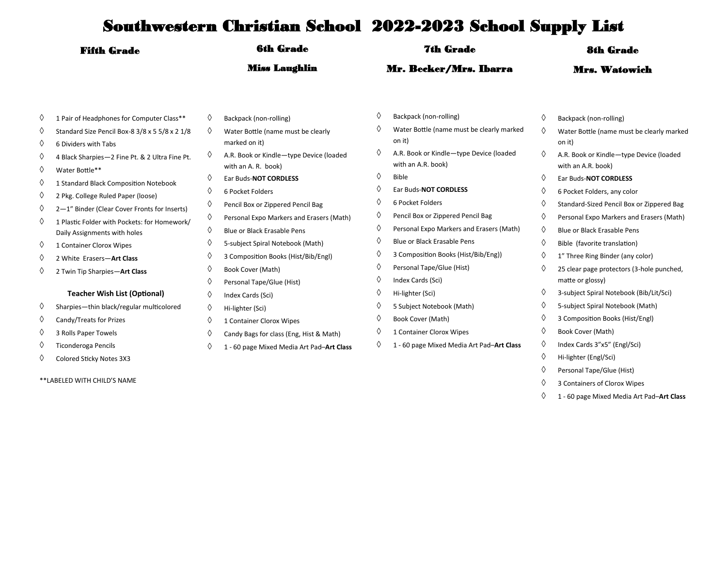| <b>Fifth Grade</b> |                                                                                                                             | <b>6th Grade</b><br><b>Miss Laughlin</b> |                                                                                         | <b>7th Grade</b><br>Mr. Becker/Mrs. Ibarra |                                                                                                 | <b>8th Grade</b><br><b>Mrs. Watowich</b> |                                                                                                          |
|--------------------|-----------------------------------------------------------------------------------------------------------------------------|------------------------------------------|-----------------------------------------------------------------------------------------|--------------------------------------------|-------------------------------------------------------------------------------------------------|------------------------------------------|----------------------------------------------------------------------------------------------------------|
|                    |                                                                                                                             |                                          |                                                                                         |                                            |                                                                                                 |                                          |                                                                                                          |
| ♦<br>♦             | 4 Black Sharpies-2 Fine Pt. & 2 Ultra Fine Pt.<br>Water Bottle**                                                            | ♦                                        | A.R. Book or Kindle-type Device (loaded<br>with an A. R. book)<br>Ear Buds-NOT CORDLESS | ♦                                          | with an A.R. book)<br><b>Bible</b>                                                              | ♦<br>♦                                   | A.R. Book or Kindle-type Device (loaded<br>with an A.R. book)<br>Ear Buds-NOT CORDLESS                   |
| ♦<br>♦<br>♦        | 1 Standard Black Composition Notebook<br>2 Pkg. College Ruled Paper (loose)<br>2-1" Binder (Clear Cover Fronts for Inserts) | ♦                                        | 6 Pocket Folders<br>Pencil Box or Zippered Pencil Bag                                   | ♦<br>♦                                     | Ear Buds-NOT CORDLESS<br>6 Pocket Folders                                                       | ♦<br>♦                                   | 6 Pocket Folders, any color<br>Standard-Sized Pencil Box or Zippered Bag                                 |
| ♦                  | 1 Plastic Folder with Pockets: for Homework/<br>Daily Assignments with holes                                                | ♦<br>♦                                   | Personal Expo Markers and Erasers (Math)<br><b>Blue or Black Erasable Pens</b>          | ♦<br>♦                                     | Pencil Box or Zippered Pencil Bag<br>Personal Expo Markers and Erasers (Math)                   | ♦<br>♦                                   | Personal Expo Markers and Erasers (Math)<br>Blue or Black Erasable Pens                                  |
| ♦<br>♦             | 1 Container Clorox Wipes<br>2 White Erasers-Art Class                                                                       |                                          | 5-subject Spiral Notebook (Math)<br>3 Composition Books (Hist/Bib/Engl)                 | ♦<br>♦<br>♦                                | Blue or Black Erasable Pens<br>3 Composition Books (Hist/Bib/Eng))<br>Personal Tape/Glue (Hist) | ♦<br>♦                                   | Bible (favorite translation)<br>1" Three Ring Binder (any color)                                         |
| ♦                  | 2 Twin Tip Sharpies-Art Class<br><b>Teacher Wish List (Optional)</b>                                                        |                                          | Book Cover (Math)<br>Personal Tape/Glue (Hist)<br>Index Cards (Sci)                     | ♦<br>♦                                     | Index Cards (Sci)<br>Hi-lighter (Sci)                                                           | ♦<br>♦                                   | 25 clear page protectors (3-hole punched,<br>matte or glossy)<br>3-subject Spiral Notebook (Bib/Lit/Sci) |
| ♦<br>♦             | Sharpies-thin black/regular multicolored<br>Candy/Treats for Prizes                                                         | ♦<br>♦                                   | Hi-lighter (Sci)<br>1 Container Clorox Wipes                                            | ♦<br>♦                                     | 5 Subject Notebook (Math)<br>Book Cover (Math)                                                  | ♦<br>♦                                   | 5-subject Spiral Notebook (Math)<br>3 Composition Books (Hist/Engl)                                      |
| ♦<br>♦             | 3 Rolls Paper Towels<br><b>Ticonderoga Pencils</b>                                                                          | ♦                                        | Candy Bags for class (Eng, Hist & Math)<br>1 - 60 page Mixed Media Art Pad-Art Class    | ♦                                          | 1 Container Clorox Wipes<br>1 - 60 page Mixed Media Art Pad-Art Class                           | ♦<br>♦                                   | Book Cover (Math)<br>Index Cards 3"x5" (Engl/Sci)                                                        |
| ♦                  | Colored Sticky Notes 3X3                                                                                                    |                                          |                                                                                         |                                            |                                                                                                 | ♦                                        | Hi-lighter (Engl/Sci)                                                                                    |

\*\*LABELED WITH CHILD'S NAME

- $\Diamond$  Personal Tape/Glue (Hist) 3 Containers of Clorox Wipes
	- 1 60 page Mixed Media Art Pad–**Art Class**